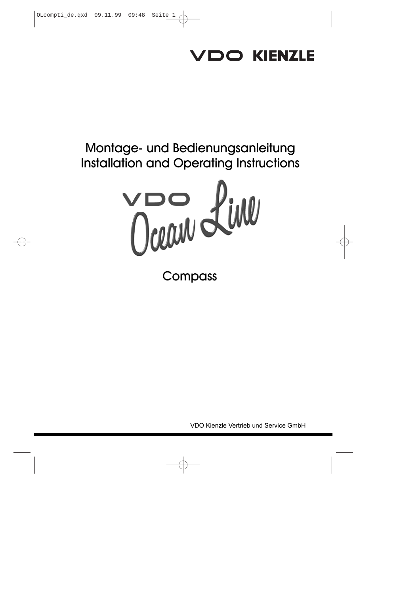# VDO KIENZLE

# Montage- und Bedienungsanleitung Installation and Operating Instructions



**Compass** 

VDO Kienzle Vertrieb und Service GmbH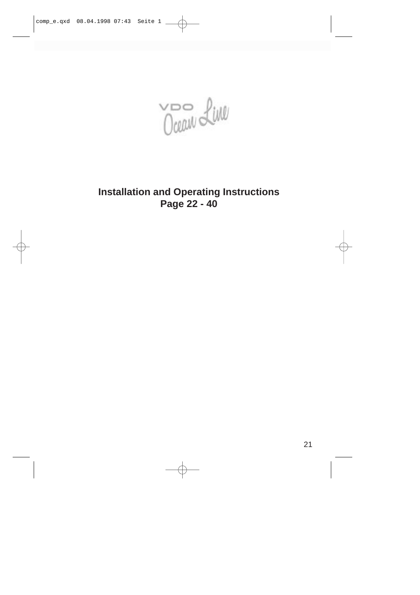Ocean Line

# **Installation and Operating Instructions Page 22 - 40**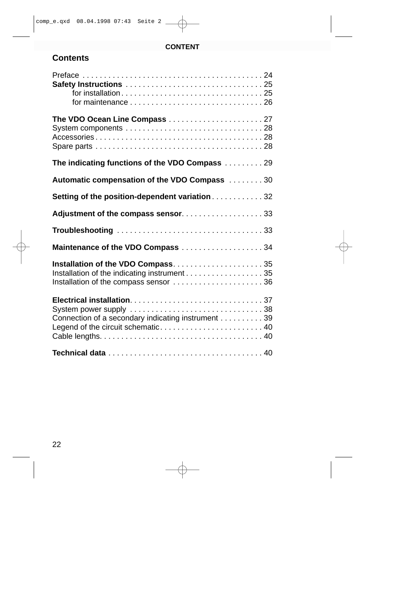# **CONTENT**

# **Contents**

| for maintenance $\ldots \ldots \ldots \ldots \ldots \ldots \ldots \ldots \ldots 26$      |
|------------------------------------------------------------------------------------------|
| The VDO Ocean Line Compass 27                                                            |
| The indicating functions of the VDO Compass  29                                          |
| Automatic compensation of the VDO Compass 30                                             |
| Setting of the position-dependent variation 32                                           |
| Adjustment of the compass sensor33                                                       |
|                                                                                          |
| Maintenance of the VDO Compass 34                                                        |
| Installation of the VDO Compass35<br>Installation of the compass sensor  36              |
| Connection of a secondary indicating instrument 39<br>Legend of the circuit schematic 40 |
|                                                                                          |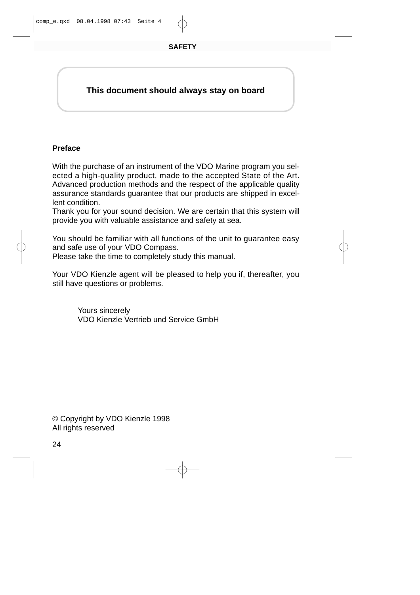# **This document should always stay on board**

# **Preface**

With the purchase of an instrument of the VDO Marine program you selected a high-quality product, made to the accepted State of the Art. Advanced production methods and the respect of the applicable quality assurance standards guarantee that our products are shipped in excellent condition.

Thank you for your sound decision. We are certain that this system will provide you with valuable assistance and safety at sea.

You should be familiar with all functions of the unit to guarantee easy and safe use of your VDO Compass.

Please take the time to completely study this manual.

Your VDO Kienzle agent will be pleased to help you if, thereafter, you still have questions or problems.

> Yours sincerely VDO Kienzle Vertrieb und Service GmbH

© Copyright by VDO Kienzle 1998 All rights reserved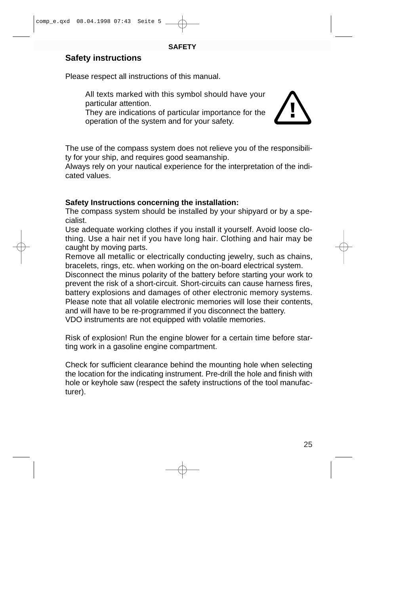# **Safety instructions**

Please respect all instructions of this manual.

All texts marked with this symbol should have your particular attention.

They are indications of particular importance for the operation of the system and for your safety.



The use of the compass system does not relieve you of the responsibility for your ship, and requires good seamanship.

Always rely on your nautical experience for the interpretation of the indicated values.

# **Safety Instructions concerning the installation:**

The compass system should be installed by your shipyard or by a specialist.

Use adequate working clothes if you install it yourself. Avoid loose clothing. Use a hair net if you have long hair. Clothing and hair may be caught by moving parts.

Remove all metallic or electrically conducting jewelry, such as chains, bracelets, rings, etc. when working on the on-board electrical system. Disconnect the minus polarity of the battery before starting your work to prevent the risk of a short-circuit. Short-circuits can cause harness fires, battery explosions and damages of other electronic memory systems. Please note that all volatile electronic memories will lose their contents, and will have to be re-programmed if you disconnect the battery. VDO instruments are not equipped with volatile memories.

Risk of explosion! Run the engine blower for a certain time before starting work in a gasoline engine compartment.

Check for sufficient clearance behind the mounting hole when selecting the location for the indicating instrument. Pre-drill the hole and finish with hole or keyhole saw (respect the safety instructions of the tool manufacturer).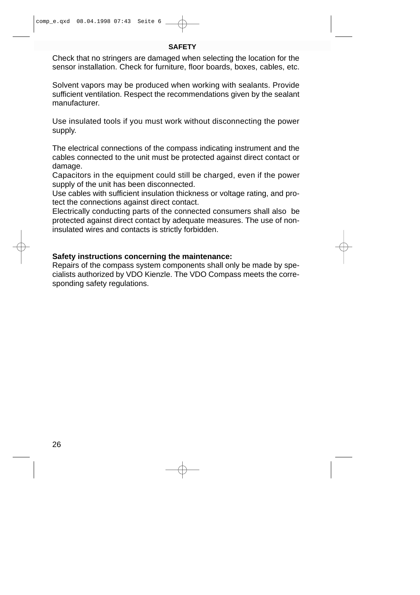#### **SAFETY**

Check that no stringers are damaged when selecting the location for the sensor installation. Check for furniture, floor boards, boxes, cables, etc.

Solvent vapors may be produced when working with sealants. Provide sufficient ventilation. Respect the recommendations given by the sealant manufacturer.

Use insulated tools if you must work without disconnecting the power supply.

The electrical connections of the compass indicating instrument and the cables connected to the unit must be protected against direct contact or damage.

Capacitors in the equipment could still be charged, even if the power supply of the unit has been disconnected.

Use cables with sufficient insulation thickness or voltage rating, and protect the connections against direct contact.

Electrically conducting parts of the connected consumers shall also be protected against direct contact by adequate measures. The use of noninsulated wires and contacts is strictly forbidden.

# **Safety instructions concerning the maintenance:**

Repairs of the compass system components shall only be made by specialists authorized by VDO Kienzle. The VDO Compass meets the corresponding safety regulations.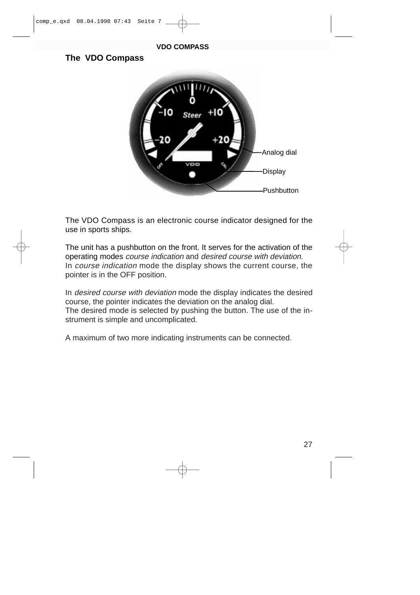#### **VDO COMPASS**

# **The VDO Compass**



The VDO Compass is an electronic course indicator designed for the use in sports ships.

The unit has a pushbutton on the front. It serves for the activation of the operating modes course indication and desired course with deviation. In course indication mode the display shows the current course, the pointer is in the OFF position.

In desired course with deviation mode the display indicates the desired course, the pointer indicates the deviation on the analog dial. The desired mode is selected by pushing the button. The use of the instrument is simple and uncomplicated.

A maximum of two more indicating instruments can be connected.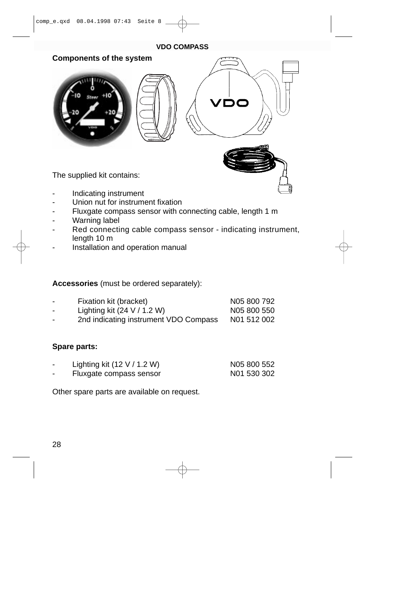#### **VDO COMPASS**



- Union nut for instrument fixation
- Fluxgate compass sensor with connecting cable, length 1 m
- Warning label
- Red connecting cable compass sensor indicating instrument, length 10 m
- Installation and operation manual

# **Accessories** (must be ordered separately):

| - | Fixation kit (bracket)                | N05 800 792 |
|---|---------------------------------------|-------------|
| - | Lighting kit $(24 V / 1.2 W)$         | N05 800 550 |
| - | 2nd indicating instrument VDO Compass | N01 512 002 |

# **Spare parts:**

| Lighting kit $(12 V / 1.2 W)$ | N05 800 552 |
|-------------------------------|-------------|
|-------------------------------|-------------|

Fluxgate compass sensor N01 530 302

Other spare parts are available on request.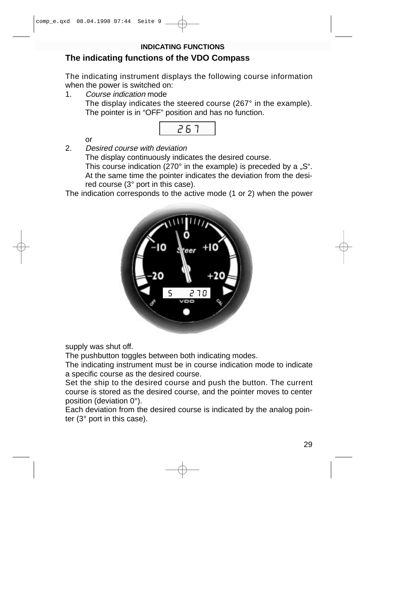# **INDICATING FUNCTIONS**

# **The indicating functions of the VDO Compass**

The indicating instrument displays the following course information when the power is switched on:

1. Course indication mode

The display indicates the steered course (267° in the example). The pointer is in "OFF" position and has no function.



or

2. Desired course with deviation

The display continuously indicates the desired course. This course indication (270 $^{\circ}$  in the example) is preceded by a "S". At the same time the pointer indicates the deviation from the desired course (3° port in this case).

The indication corresponds to the active mode (1 or 2) when the power



supply was shut off.

The pushbutton toggles between both indicating modes.

The indicating instrument must be in course indication mode to indicate a specific course as the desired course.

Set the ship to the desired course and push the button. The current course is stored as the desired course, and the pointer moves to center position (deviation 0°).

Each deviation from the desired course is indicated by the analog pointer (3° port in this case).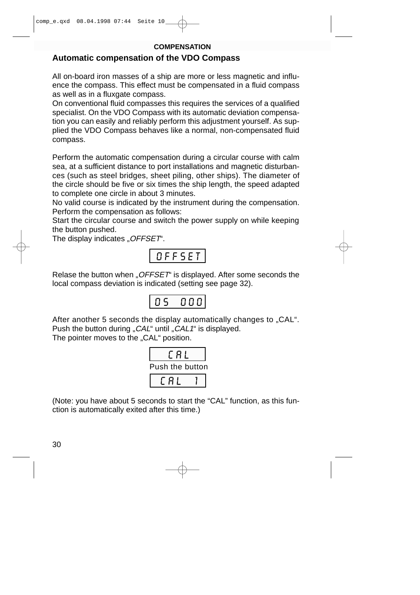#### **COMPENSATION**

# **Automatic compensation of the VDO Compass**

All on-board iron masses of a ship are more or less magnetic and influence the compass. This effect must be compensated in a fluid compass as well as in a fluxgate compass.

On conventional fluid compasses this requires the services of a qualified specialist. On the VDO Compass with its automatic deviation compensation you can easily and reliably perform this adjustment yourself. As supplied the VDO Compass behaves like a normal, non-compensated fluid compass.

Perform the automatic compensation during a circular course with calm sea, at a sufficient distance to port installations and magnetic disturbances (such as steel bridges, sheet piling, other ships). The diameter of the circle should be five or six times the ship length, the speed adapted to complete one circle in about 3 minutes.

No valid course is indicated by the instrument during the compensation. Perform the compensation as follows:

Start the circular course and switch the power supply on while keeping the button pushed.

The display indicates "OFFSET".

$$
\fbox{\tt OFFSET}
$$

Relase the button when "OFFSET" is displayed. After some seconds the local compass deviation is indicated (setting see page 32).



After another 5 seconds the display automatically changes to "CAL". Push the button during "CAL" until "CAL1" is displayed.

The pointer moves to the "CAL" position.



(Note: you have about 5 seconds to start the "CAL" function, as this function is automatically exited after this time.)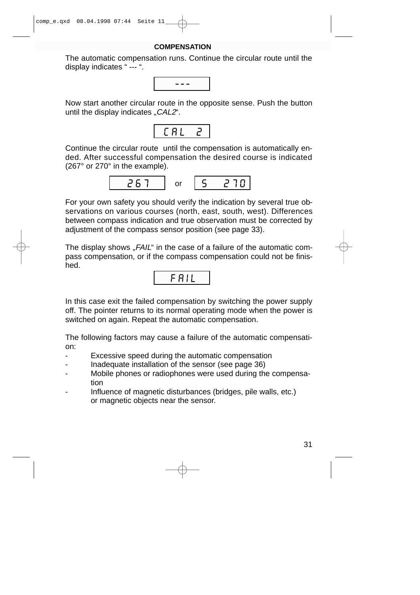#### **COMPENSATION**

The automatic compensation runs. Continue the circular route until the display indicates " --- ".



Now start another circular route in the opposite sense. Push the button until the display indicates  $CAL2$ ".



Continue the circular route until the compensation is automatically ended. After successful compensation the desired course is indicated (267° or 270° in the example).



For your own safety you should verify the indication by several true observations on various courses (north, east, south, west). Differences between compass indication and true observation must be corrected by adjustment of the compass sensor position (see page 33).

The display shows "FAIL" in the case of a failure of the automatic compass compensation, or if the compass compensation could not be finished.



In this case exit the failed compensation by switching the power supply off. The pointer returns to its normal operating mode when the power is switched on again. Repeat the automatic compensation.

The following factors may cause a failure of the automatic compensation:

- Excessive speed during the automatic compensation
- Inadequate installation of the sensor (see page 36)
- Mobile phones or radiophones were used during the compensation
- Influence of magnetic disturbances (bridges, pile walls, etc.) or magnetic objects near the sensor.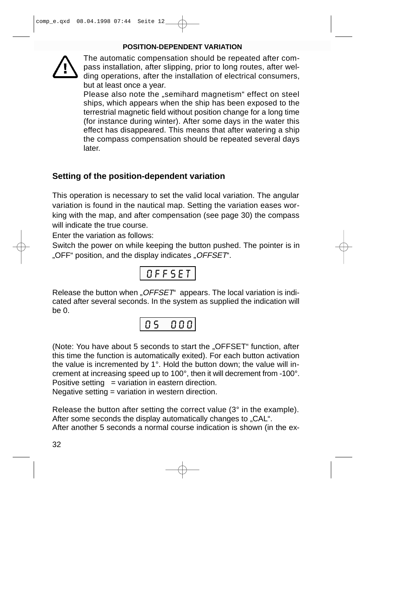#### **POSITION-DEPENDENT VARIATION**



The automatic compensation should be repeated after compass installation, after slipping, prior to long routes, after welding operations, after the installation of electrical consumers, but at least once a year.

Please also note the "semihard magnetism" effect on steel ships, which appears when the ship has been exposed to the terrestrial magnetic field without position change for a long time (for instance during winter). After some days in the water this effect has disappeared. This means that after watering a ship the compass compensation should be repeated several days later.

# **Setting of the position-dependent variation**

This operation is necessary to set the valid local variation. The angular variation is found in the nautical map. Setting the variation eases working with the map, and after compensation (see page 30) the compass will indicate the true course.

Enter the variation as follows:

Switch the power on while keeping the button pushed. The pointer is in "OFF" position, and the display indicates "OFFSET".

$$
0 \, \texttt{FFSET}
$$

Release the button when " $OFFSET^4$  appears. The local variation is indicated after several seconds. In the system as supplied the indication will be 0.



(Note: You have about 5 seconds to start the "OFFSET" function, after this time the function is automatically exited). For each button activation the value is incremented by 1°. Hold the button down; the value will increment at increasing speed up to 100°, then it will decrement from -100°. Positive setting  $=$  variation in eastern direction.

Negative setting = variation in western direction.

Release the button after setting the correct value (3° in the example). After some seconds the display automatically changes to "CAL". After another 5 seconds a normal course indication is shown (in the ex-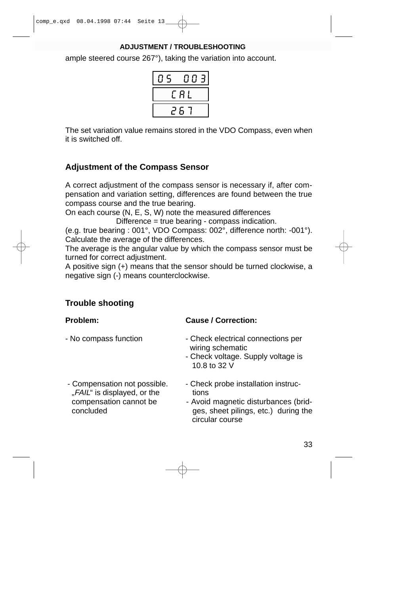# **ADJUSTMENT / TROUBLESHOOTING**

ample steered course 267°), taking the variation into account.

| 5 | Ь  |
|---|----|
|   | Ħ. |
|   |    |

The set variation value remains stored in the VDO Compass, even when it is switched off.

# **Adjustment of the Compass Sensor**

A correct adjustment of the compass sensor is necessary if, after compensation and variation setting, differences are found between the true compass course and the true bearing.

On each course (N, E, S, W) note the measured differences

Difference = true bearing - compass indication.

(e.g. true bearing : 001°, VDO Compass: 002°, difference north: -001°). Calculate the average of the differences.

The average is the angular value by which the compass sensor must be turned for correct adjustment.

A positive sign (+) means that the sensor should be turned clockwise, a negative sign (-) means counterclockwise.

# **Trouble shooting**

- 
- "FAIL" is displayed, or the tions

# **Problem: Cause / Correction:**

- No compass function Check electrical connections per wiring schematic
	- Check voltage. Supply voltage is 10.8 to 32 V
- Compensation not possible. Check probe installation instruc
	- compensation cannot be Avoid magnetic disturbances (bridconcluded ges, sheet pilings, etc.) during the circular course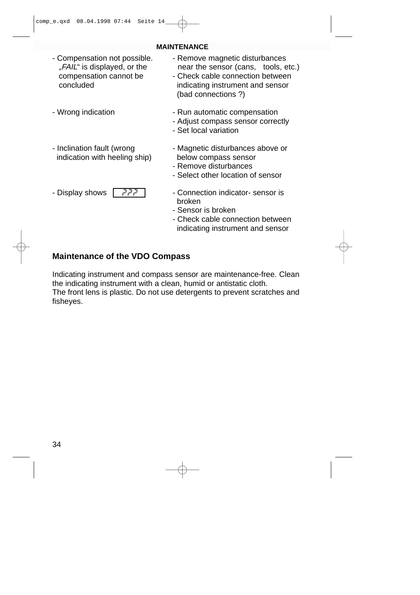- "FAIL" is displayed, or the near the sensor (cans, tools, etc.)<br>compensation cannot be check cable connection between
- 
- indication with heeling ship) below compass sensor
- 



#### **MAINTENANCE**

- Compensation not possible. Remove magnetic disturbances<br>FAIL is displayed, or the sensor (cans, tools, e.,
	- Check cable connection between concluded indicating instrument and sensor (bad connections ?)
- Wrong indication  **Run automatic compensation** 
	- Adjust compass sensor correctly
	- Set local variation
- Inclination fault (wrong Fig. 2014) Magnetic disturbances above or
	- Remove disturbances
	- Select other location of sensor
- Display shows  $\begin{vmatrix} 7 & 7 & 7 \\ 7 & 7 & 7 \end{vmatrix}$  Connection indicator- sensor is broken
	- Sensor is broken
	- Check cable connection between indicating instrument and sensor

# **Maintenance of the VDO Compass**

Indicating instrument and compass sensor are maintenance-free. Clean the indicating instrument with a clean, humid or antistatic cloth. The front lens is plastic. Do not use detergents to prevent scratches and fisheyes.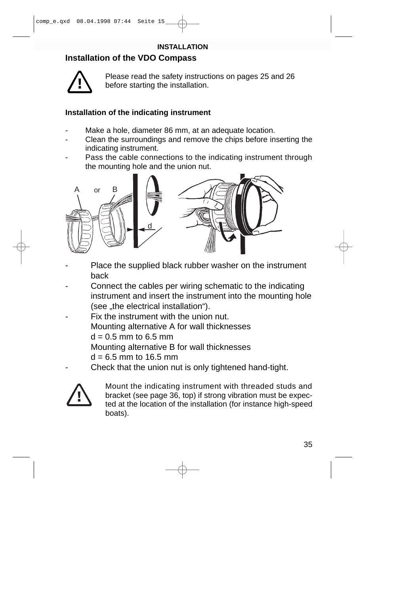# **Installation of the VDO Compass**



Please read the safety instructions on pages 25 and 26 before starting the installation.

# **Installation of the indicating instrument**

- Make a hole, diameter 86 mm, at an adequate location.
- Clean the surroundings and remove the chips before inserting the indicating instrument.
- Pass the cable connections to the indicating instrument through the mounting hole and the union nut.



- Place the supplied black rubber washer on the instrument back
- Connect the cables per wiring schematic to the indicating instrument and insert the instrument into the mounting hole (see "the electrical installation").
- Fix the instrument with the union nut. Mounting alternative A for wall thicknesses  $d = 0.5$  mm to 6.5 mm Mounting alternative B for wall thicknesses  $d = 6.5$  mm to 16.5 mm
	- Check that the union nut is only tightened hand-tight.



Mount the indicating instrument with threaded studs and bracket (see page 36, top) if strong vibration must be expected at the location of the installation (for instance high-speed boats).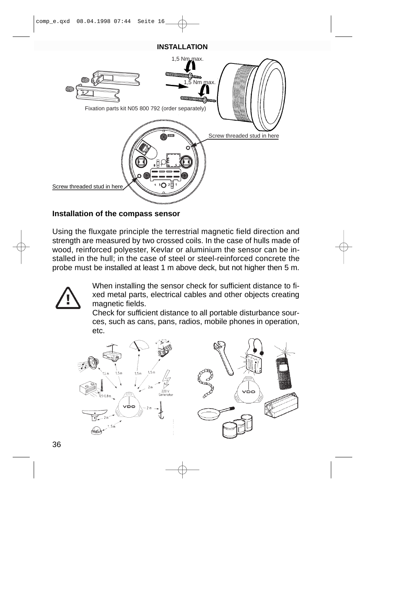

# **Installation of the compass sensor**

Using the fluxgate principle the terrestrial magnetic field direction and strength are measured by two crossed coils. In the case of hulls made of wood, reinforced polyester, Kevlar or aluminium the sensor can be installed in the hull; in the case of steel or steel-reinforced concrete the probe must be installed at least 1 m above deck, but not higher then 5 m.



When installing the sensor check for sufficient distance to fixed metal parts, electrical cables and other objects creating magnetic fields.

Check for sufficient distance to all portable disturbance sources, such as cans, pans, radios, mobile phones in operation, etc.

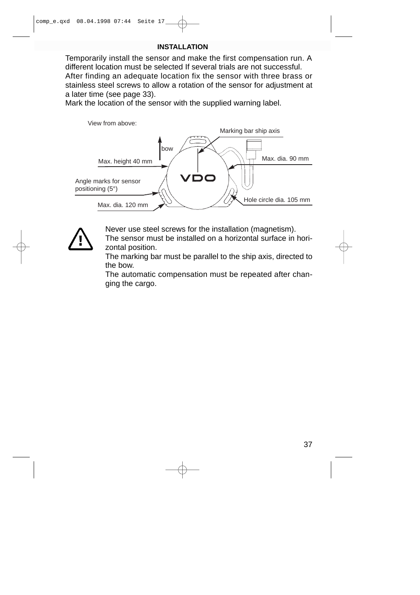Temporarily install the sensor and make the first compensation run. A different location must be selected If several trials are not successful. After finding an adequate location fix the sensor with three brass or stainless steel screws to allow a rotation of the sensor for adjustment at a later time (see page 33).

Mark the location of the sensor with the supplied warning label.





Never use steel screws for the installation (magnetism).

The sensor must be installed on a horizontal surface in horizontal position.

The marking bar must be parallel to the ship axis, directed to the bow.

The automatic compensation must be repeated after changing the cargo.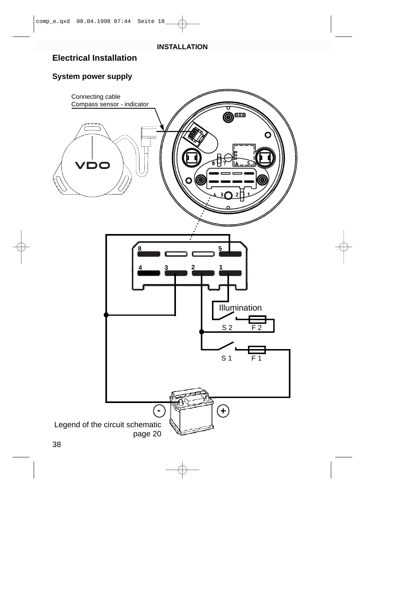# **Electrical Installation**

# **System power supply**

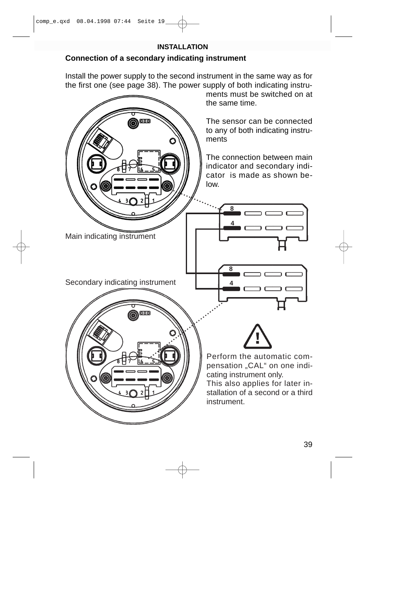# **Connection of a secondary indicating instrument**

Install the power supply to the second instrument in the same way as for the first one (see page 38). The power supply of both indicating instru-

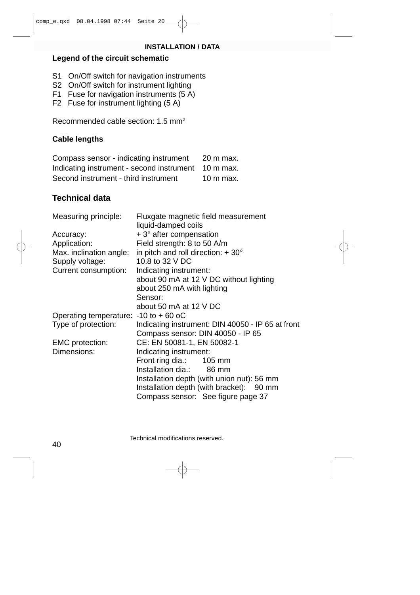#### **INSTALLATION / DATA**

# **Legend of the circuit schematic**

- S1 On/Off switch for navigation instruments
- S2 On/Off switch for instrument lighting
- F1 Fuse for navigation instruments (5 A)
- F2 Fuse for instrument lighting (5 A)

Recommended cable section: 1.5 mm2

# **Cable lengths**

Compass sensor - indicating instrument 20 m max. Indicating instrument - second instrument 10 m max. Second instrument - third instrument 10 m max.

# **Technical data**

| Measuring principle:                   | Fluxgate magnetic field measurement<br>liquid-damped coils |
|----------------------------------------|------------------------------------------------------------|
| Accuracy:                              | $+3^{\circ}$ after compensation                            |
| Application:                           | Field strength: 8 to 50 A/m                                |
| Max. inclination angle:                | in pitch and roll direction: $+30^{\circ}$                 |
| Supply voltage:                        | 10.8 to 32 V DC                                            |
| Current consumption:                   | Indicating instrument:                                     |
|                                        | about 90 mA at 12 V DC without lighting                    |
|                                        | about 250 mA with lighting                                 |
|                                        | Sensor:                                                    |
|                                        | about 50 mA at 12 V DC                                     |
| Operating temperature: - 10 to + 60 oC |                                                            |
| Type of protection:                    | Indicating instrument: DIN 40050 - IP 65 at front          |
|                                        | Compass sensor: DIN 40050 - IP 65                          |
| <b>EMC</b> protection:                 | CE: EN 50081-1, EN 50082-1                                 |
| Dimensions:                            | Indicating instrument:                                     |
|                                        | Front ring dia.: 105 mm                                    |
|                                        | Installation dia.: 86 mm                                   |
|                                        | Installation depth (with union nut): 56 mm                 |
|                                        | Installation depth (with bracket): 90 mm                   |
|                                        | Compass sensor: See figure page 37                         |